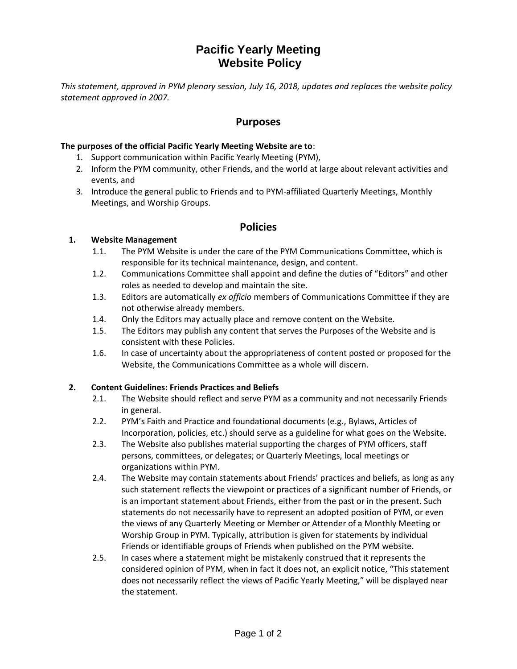# **Pacific Yearly Meeting Website Policy**

*This statement, approved in PYM plenary session, July 16, 2018, updates and replaces the website policy statement approved in 2007.*

# **Purposes**

### **The purposes of the official Pacific Yearly Meeting Website are to**:

- 1. Support communication within Pacific Yearly Meeting (PYM),
- 2. Inform the PYM community, other Friends, and the world at large about relevant activities and events, and
- 3. Introduce the general public to Friends and to PYM-affiliated Quarterly Meetings, Monthly Meetings, and Worship Groups.

# **Policies**

## **1. Website Management**

- 1.1. The PYM Website is under the care of the PYM Communications Committee, which is responsible for its technical maintenance, design, and content.
- 1.2. Communications Committee shall appoint and define the duties of "Editors" and other roles as needed to develop and maintain the site.
- 1.3. Editors are automatically *ex officio* members of Communications Committee if they are not otherwise already members.
- 1.4. Only the Editors may actually place and remove content on the Website.
- 1.5. The Editors may publish any content that serves the Purposes of the Website and is consistent with these Policies.
- 1.6. In case of uncertainty about the appropriateness of content posted or proposed for the Website, the Communications Committee as a whole will discern.

#### **2. Content Guidelines: Friends Practices and Beliefs**

- 2.1. The Website should reflect and serve PYM as a community and not necessarily Friends in general.
- 2.2. PYM's Faith and Practice and foundational documents (e.g., Bylaws, Articles of Incorporation, policies, etc.) should serve as a guideline for what goes on the Website.
- 2.3. The Website also publishes material supporting the charges of PYM officers, staff persons, committees, or delegates; or Quarterly Meetings, local meetings or organizations within PYM.
- 2.4. The Website may contain statements about Friends' practices and beliefs, as long as any such statement reflects the viewpoint or practices of a significant number of Friends, or is an important statement about Friends, either from the past or in the present. Such statements do not necessarily have to represent an adopted position of PYM, or even the views of any Quarterly Meeting or Member or Attender of a Monthly Meeting or Worship Group in PYM. Typically, attribution is given for statements by individual Friends or identifiable groups of Friends when published on the PYM website.
- 2.5. In cases where a statement might be mistakenly construed that it represents the considered opinion of PYM, when in fact it does not, an explicit notice, "This statement does not necessarily reflect the views of Pacific Yearly Meeting," will be displayed near the statement.